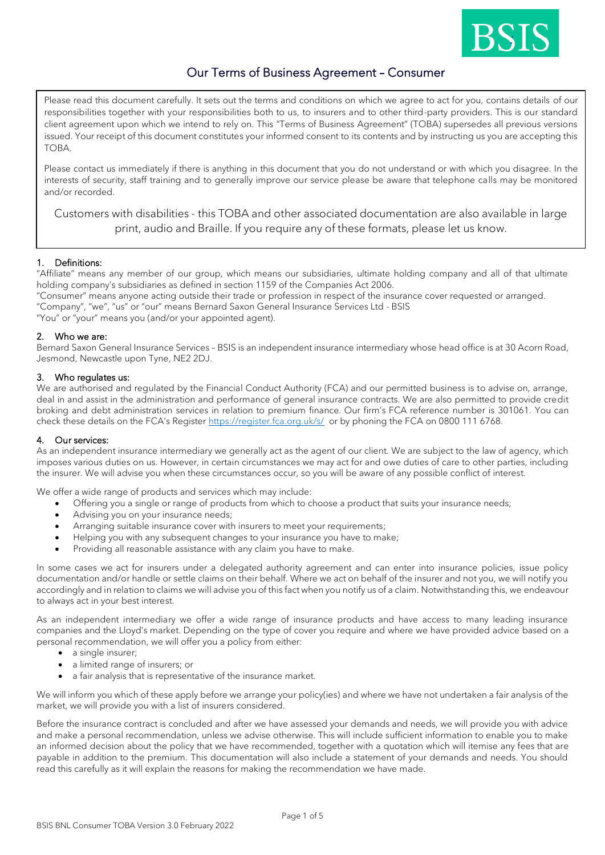

# Our Terms of Business Agreement – Consumer

Please read this document carefully. It sets out the terms and conditions on which we agree to act for you, contains details of our responsibilities together with your responsibilities both to us, to insurers and to other third-party providers. This is our standard client agreement upon which we intend to rely on. This "Terms of Business Agreement" (TOBA) supersedes all previous versions issued. Your receipt of this document constitutes your informed consent to its contents and by instructing us you are accepting this TOBA.

Please contact us immediately if there is anything in this document that you do not understand or with which you disagree. In the interests of security, staff training and to generally improve our service please be aware that telephone calls may be monitored and/or recorded.

Customers with disabilities - this TOBA and other associated documentation are also available in large print, audio and Braille. If you require any of these formats, please let us know.

# 1. Definitions:

"Affiliate" means any member of our group, which means our subsidiaries, ultimate holding company and all of that ultimate holding company's subsidiaries as defined in section 1159 of the Companies Act 2006.

"Consumer" means anyone acting outside their trade or profession in respect of the insurance cover requested or arranged. "Company", "we", "us" or "our" means Bernard Saxon General Insurance Services Ltd - BSIS "You" or "your" means you (and/or your appointed agent).

# 2. Who we are:

Bernard Saxon General Insurance Services – BSIS is an independent insurance intermediary whose head office is at 30 Acorn Road, Jesmond, Newcastle upon Tyne, NE2 2DJ.

# 3. Who regulates us:

We are authorised and regulated by the Financial Conduct Authority (FCA) and our permitted business is to advise on, arrange, deal in and assist in the administration and performance of general insurance contracts. We are also permitted to provide credit broking and debt administration services in relation to premium finance. Our firm's FCA reference number is 301061. You can check these details on the FCA's Register <https://register.fca.org.uk/s/>or by phoning the FCA on 0800 111 6768.

# 4. Our services:

As an independent insurance intermediary we generally act as the agent of our client. We are subject to the law of agency, which imposes various duties on us. However, in certain circumstances we may act for and owe duties of care to other parties, including the insurer. We will advise you when these circumstances occur, so you will be aware of any possible conflict of interest.

We offer a wide range of products and services which may include:

- Offering you a single or range of products from which to choose a product that suits your insurance needs;
- Advising you on your insurance needs;
- Arranging suitable insurance cover with insurers to meet your requirements;
- Helping you with any subsequent changes to your insurance you have to make;
- Providing all reasonable assistance with any claim you have to make.

In some cases we act for insurers under a delegated authority agreement and can enter into insurance policies, issue policy documentation and/or handle or settle claims on their behalf. Where we act on behalf of the insurer and not you, we will notify you accordingly and in relation to claims we will advise you of this fact when you notify us of a claim. Notwithstanding this, we endeavour to always act in your best interest.

As an independent intermediary we offer a wide range of insurance products and have access to many leading insurance companies and the Lloyd's market. Depending on the type of cover you require and where we have provided advice based on a personal recommendation, we will offer you a policy from either:

- a single insurer;
- a limited range of insurers; or
- a fair analysis that is representative of the insurance market.

We will inform you which of these apply before we arrange your policy(ies) and where we have not undertaken a fair analysis of the market, we will provide you with a list of insurers considered.

Before the insurance contract is concluded and after we have assessed your demands and needs, we will provide you with advice and make a personal recommendation, unless we advise otherwise. This will include sufficient information to enable you to make an informed decision about the policy that we have recommended, together with a quotation which will itemise any fees that are payable in addition to the premium. This documentation will also include a statement of your demands and needs. You should read this carefully as it will explain the reasons for making the recommendation we have made.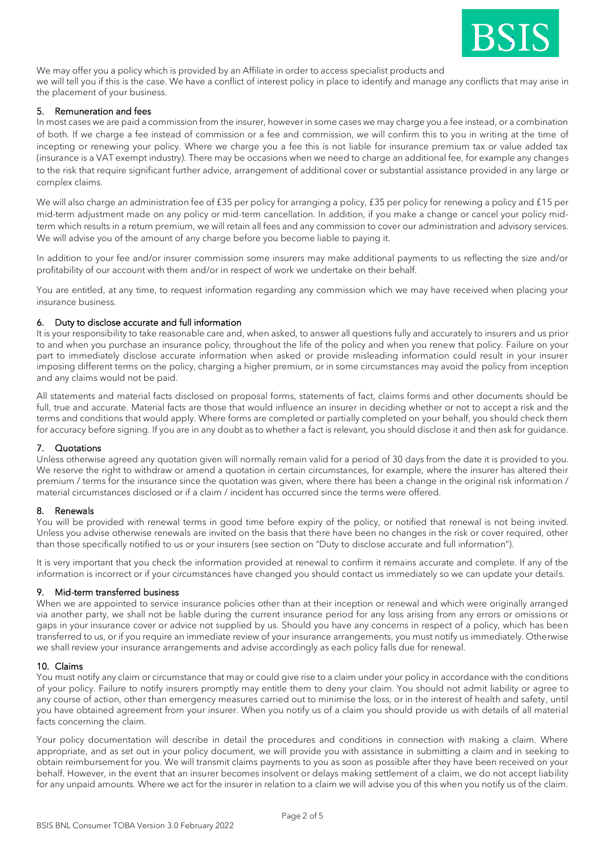

We may offer you a policy which is provided by an Affiliate in order to access specialist products and

we will tell you if this is the case. We have a conflict of interest policy in place to identify and manage any conflicts that may arise in the placement of your business.

#### 5. Remuneration and fees

In most cases we are paid a commission from the insurer, however in some cases we may charge you a fee instead, or a combination of both. If we charge a fee instead of commission or a fee and commission, we will confirm this to you in writing at the time of incepting or renewing your policy. Where we charge you a fee this is not liable for insurance premium tax or value added tax (insurance is a VAT exempt industry). There may be occasions when we need to charge an additional fee, for example any changes to the risk that require significant further advice, arrangement of additional cover or substantial assistance provided in any large or complex claims.

We will also charge an administration fee of £35 per policy for arranging a policy, £35 per policy for renewing a policy and £15 per mid-term adjustment made on any policy or mid-term cancellation. In addition, if you make a change or cancel your policy midterm which results in a return premium, we will retain all fees and any commission to cover our administration and advisory services. We will advise you of the amount of any charge before you become liable to paying it.

In addition to your fee and/or insurer commission some insurers may make additional payments to us reflecting the size and/or profitability of our account with them and/or in respect of work we undertake on their behalf.

You are entitled, at any time, to request information regarding any commission which we may have received when placing your insurance business.

#### 6. Duty to disclose accurate and full information

It is your responsibility to take reasonable care and, when asked, to answer all questions fully and accurately to insurers and us prior to and when you purchase an insurance policy, throughout the life of the policy and when you renew that policy. Failure on your part to immediately disclose accurate information when asked or provide misleading information could result in your insurer imposing different terms on the policy, charging a higher premium, or in some circumstances may avoid the policy from inception and any claims would not be paid.

All statements and material facts disclosed on proposal forms, statements of fact, claims forms and other documents should be full, true and accurate. Material facts are those that would influence an insurer in deciding whether or not to accept a risk and the terms and conditions that would apply. Where forms are completed or partially completed on your behalf, you should check them for accuracy before signing. If you are in any doubt as to whether a fact is relevant, you should disclose it and then ask for guidance.

# 7. Quotations

Unless otherwise agreed any quotation given will normally remain valid for a period of 30 days from the date it is provided to you. We reserve the right to withdraw or amend a quotation in certain circumstances, for example, where the insurer has altered their premium / terms for the insurance since the quotation was given, where there has been a change in the original risk information / material circumstances disclosed or if a claim / incident has occurred since the terms were offered.

#### 8. Renewals

You will be provided with renewal terms in good time before expiry of the policy, or notified that renewal is not being invited. Unless you advise otherwise renewals are invited on the basis that there have been no changes in the risk or cover required, other than those specifically notified to us or your insurers (see section on "Duty to disclose accurate and full information").

It is very important that you check the information provided at renewal to confirm it remains accurate and complete. If any of the information is incorrect or if your circumstances have changed you should contact us immediately so we can update your details.

#### 9. Mid-term transferred business

When we are appointed to service insurance policies other than at their inception or renewal and which were originally arranged via another party, we shall not be liable during the current insurance period for any loss arising from any errors or omissions or gaps in your insurance cover or advice not supplied by us. Should you have any concerns in respect of a policy, which has been transferred to us, or if you require an immediate review of your insurance arrangements, you must notify us immediately. Otherwise we shall review your insurance arrangements and advise accordingly as each policy falls due for renewal.

#### 10. Claims

You must notify any claim or circumstance that may or could give rise to a claim under your policy in accordance with the conditions of your policy. Failure to notify insurers promptly may entitle them to deny your claim. You should not admit liability or agree to any course of action, other than emergency measures carried out to minimise the loss, or in the interest of health and safety, until you have obtained agreement from your insurer. When you notify us of a claim you should provide us with details of all material facts concerning the claim.

Your policy documentation will describe in detail the procedures and conditions in connection with making a claim. Where appropriate, and as set out in your policy document, we will provide you with assistance in submitting a claim and in seeking to obtain reimbursement for you. We will transmit claims payments to you as soon as possible after they have been received on your behalf. However, in the event that an insurer becomes insolvent or delays making settlement of a claim, we do not accept liability for any unpaid amounts. Where we act for the insurer in relation to a claim we will advise you of this when you notify us of the claim.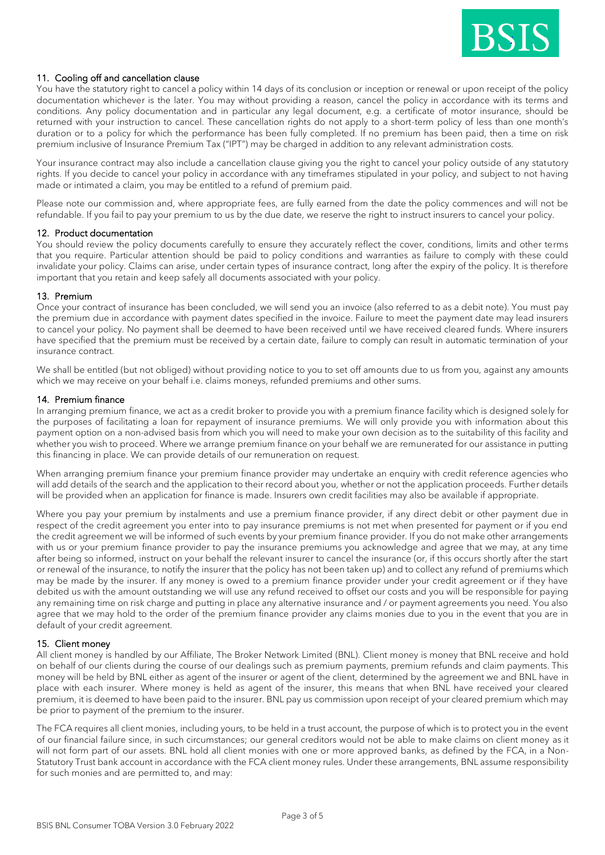

# 11. Cooling off and cancellation clause

You have the statutory right to cancel a policy within 14 days of its conclusion or inception or renewal or upon receipt of the policy documentation whichever is the later. You may without providing a reason, cancel the policy in accordance with its terms and conditions. Any policy documentation and in particular any legal document, e.g. a certificate of motor insurance, should be returned with your instruction to cancel. These cancellation rights do not apply to a short-term policy of less than one month's duration or to a policy for which the performance has been fully completed. If no premium has been paid, then a time on risk premium inclusive of Insurance Premium Tax ("IPT") may be charged in addition to any relevant administration costs.

Your insurance contract may also include a cancellation clause giving you the right to cancel your policy outside of any statutory rights. If you decide to cancel your policy in accordance with any timeframes stipulated in your policy, and subject to not having made or intimated a claim, you may be entitled to a refund of premium paid.

Please note our commission and, where appropriate fees, are fully earned from the date the policy commences and will not be refundable. If you fail to pay your premium to us by the due date, we reserve the right to instruct insurers to cancel your policy.

#### 12. Product documentation

You should review the policy documents carefully to ensure they accurately reflect the cover, conditions, limits and other terms that you require. Particular attention should be paid to policy conditions and warranties as failure to comply with these could invalidate your policy. Claims can arise, under certain types of insurance contract, long after the expiry of the policy. It is therefore important that you retain and keep safely all documents associated with your policy.

#### 13. Premium

Once your contract of insurance has been concluded, we will send you an invoice (also referred to as a debit note). You must pay the premium due in accordance with payment dates specified in the invoice. Failure to meet the payment date may lead insurers to cancel your policy. No payment shall be deemed to have been received until we have received cleared funds. Where insurers have specified that the premium must be received by a certain date, failure to comply can result in automatic termination of your insurance contract.

We shall be entitled (but not obliged) without providing notice to you to set off amounts due to us from you, against any amounts which we may receive on your behalf i.e. claims moneys, refunded premiums and other sums.

#### 14. Premium finance

In arranging premium finance, we act as a credit broker to provide you with a premium finance facility which is designed solely for the purposes of facilitating a loan for repayment of insurance premiums. We will only provide you with information about this payment option on a non-advised basis from which you will need to make your own decision as to the suitability of this facility and whether you wish to proceed. Where we arrange premium finance on your behalf we are remunerated for our assistance in putting this financing in place. We can provide details of our remuneration on request.

When arranging premium finance your premium finance provider may undertake an enquiry with credit reference agencies who will add details of the search and the application to their record about you, whether or not the application proceeds. Further details will be provided when an application for finance is made. Insurers own credit facilities may also be available if appropriate.

Where you pay your premium by instalments and use a premium finance provider, if any direct debit or other payment due in respect of the credit agreement you enter into to pay insurance premiums is not met when presented for payment or if you end the credit agreement we will be informed of such events by your premium finance provider. If you do not make other arrangements with us or your premium finance provider to pay the insurance premiums you acknowledge and agree that we may, at any time after being so informed, instruct on your behalf the relevant insurer to cancel the insurance (or, if this occurs shortly after the start or renewal of the insurance, to notify the insurer that the policy has not been taken up) and to collect any refund of premiums which may be made by the insurer. If any money is owed to a premium finance provider under your credit agreement or if they have debited us with the amount outstanding we will use any refund received to offset our costs and you will be responsible for paying any remaining time on risk charge and putting in place any alternative insurance and / or payment agreements you need. You also agree that we may hold to the order of the premium finance provider any claims monies due to you in the event that you are in default of your credit agreement.

#### 15. Client money

All client money is handled by our Affiliate, The Broker Network Limited (BNL). Client money is money that BNL receive and hold on behalf of our clients during the course of our dealings such as premium payments, premium refunds and claim payments. This money will be held by BNL either as agent of the insurer or agent of the client, determined by the agreement we and BNL have in place with each insurer. Where money is held as agent of the insurer, this means that when BNL have received your cleared premium, it is deemed to have been paid to the insurer. BNL pay us commission upon receipt of your cleared premium which may be prior to payment of the premium to the insurer.

The FCA requires all client monies, including yours, to be held in a trust account, the purpose of which is to protect you in the event of our financial failure since, in such circumstances; our general creditors would not be able to make claims on client money as it will not form part of our assets. BNL hold all client monies with one or more approved banks, as defined by the FCA, in a Non-Statutory Trust bank account in accordance with the FCA client money rules. Under these arrangements, BNL assume responsibility for such monies and are permitted to, and may: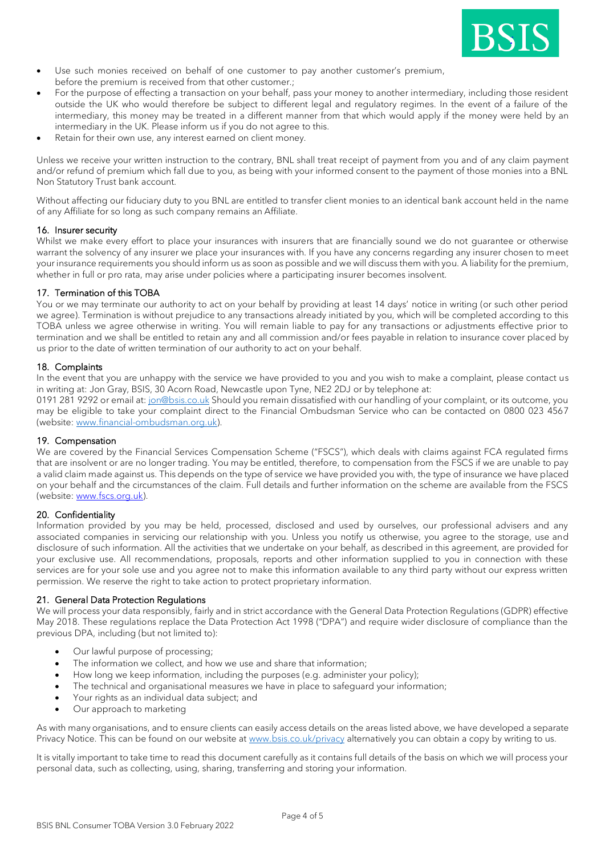

- Use such monies received on behalf of one customer to pay another customer's premium, before the premium is received from that other customer.;
- For the purpose of effecting a transaction on your behalf, pass your money to another intermediary, including those resident outside the UK who would therefore be subject to different legal and regulatory regimes. In the event of a failure of the intermediary, this money may be treated in a different manner from that which would apply if the money were held by an intermediary in the UK. Please inform us if you do not agree to this.
- Retain for their own use, any interest earned on client money.

Unless we receive your written instruction to the contrary, BNL shall treat receipt of payment from you and of any claim payment and/or refund of premium which fall due to you, as being with your informed consent to the payment of those monies into a BNL Non Statutory Trust bank account.

Without affecting our fiduciary duty to you BNL are entitled to transfer client monies to an identical bank account held in the name of any Affiliate for so long as such company remains an Affiliate.

#### 16. Insurer security

Whilst we make every effort to place your insurances with insurers that are financially sound we do not guarantee or otherwise warrant the solvency of any insurer we place your insurances with. If you have any concerns regarding any insurer chosen to meet your insurance requirements you should inform us as soon as possible and we will discuss them with you. A liability for the premium, whether in full or pro rata, may arise under policies where a participating insurer becomes insolvent.

# 17. Termination of this TOBA

You or we may terminate our authority to act on your behalf by providing at least 14 days' notice in writing (or such other period we agree). Termination is without prejudice to any transactions already initiated by you, which will be completed according to this TOBA unless we agree otherwise in writing. You will remain liable to pay for any transactions or adjustments effective prior to termination and we shall be entitled to retain any and all commission and/or fees payable in relation to insurance cover placed by us prior to the date of written termination of our authority to act on your behalf.

# 18. Complaints

In the event that you are unhappy with the service we have provided to you and you wish to make a complaint, please contact us in writing at: Jon Gray, BSIS, 30 Acorn Road, Newcastle upon Tyne, NE2 2DJ or by telephone at:

0191 281 9292 or email at: [jon@bsis.co.uk](mailto:jon@bsis.co.uk) Should you remain dissatisfied with our handling of your complaint, or its outcome, you may be eligible to take your complaint direct to the Financial Ombudsman Service who can be contacted on 0800 023 4567 (website: [www.financial-ombudsman.org.uk\)](http://www.financial-ombudsman.org.uk/).

# 19. Compensation

We are covered by the Financial Services Compensation Scheme ("FSCS"), which deals with claims against FCA regulated firms that are insolvent or are no longer trading. You may be entitled, therefore, to compensation from the FSCS if we are unable to pay a valid claim made against us. This depends on the type of service we have provided you with, the type of insurance we have placed on your behalf and the circumstances of the claim. Full details and further information on the scheme are available from the FSCS (website: [www.fscs.org.uk\)](http://www.fscs.org.uk/).

# 20. Confidentiality

Information provided by you may be held, processed, disclosed and used by ourselves, our professional advisers and any associated companies in servicing our relationship with you. Unless you notify us otherwise, you agree to the storage, use and disclosure of such information. All the activities that we undertake on your behalf, as described in this agreement, are provided for your exclusive use. All recommendations, proposals, reports and other information supplied to you in connection with these services are for your sole use and you agree not to make this information available to any third party without our express written permission. We reserve the right to take action to protect proprietary information.

# 21. General Data Protection Regulations

We will process your data responsibly, fairly and in strict accordance with the General Data Protection Regulations (GDPR) effective May 2018. These regulations replace the Data Protection Act 1998 ("DPA") and require wider disclosure of compliance than the previous DPA, including (but not limited to):

- Our lawful purpose of processing;
- The information we collect, and how we use and share that information;
- How long we keep information, including the purposes (e.g. administer your policy);
- The technical and organisational measures we have in place to safeguard your information;
- Your rights as an individual data subject; and
- Our approach to marketing

As with many organisations, and to ensure clients can easily access details on the areas listed above, we have developed a separate Privacy Notice. This can be found on our website at [www.bsis.co.uk/privacy](http://www.bsis.co.uk/privacy) alternatively you can obtain a copy by writing to us.

It is vitally important to take time to read this document carefully as it contains full details of the basis on which we will process your personal data, such as collecting, using, sharing, transferring and storing your information.